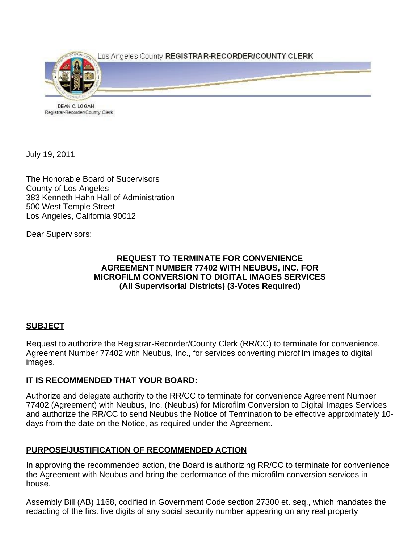

DEAN C. LOGAN Registrar-Recorder/County Clerk

July 19, 2011

The Honorable Board of Supervisors County of Los Angeles 383 Kenneth Hahn Hall of Administration 500 West Temple Street Los Angeles, California 90012

Dear Supervisors:

### **REQUEST TO TERMINATE FOR CONVENIENCE AGREEMENT NUMBER 77402 WITH NEUBUS, INC. FOR MICROFILM CONVERSION TO DIGITAL IMAGES SERVICES (All Supervisorial Districts) (3-Votes Required)**

# **SUBJECT**

Request to authorize the Registrar-Recorder/County Clerk (RR/CC) to terminate for convenience, Agreement Number 77402 with Neubus, Inc., for services converting microfilm images to digital images.

# **IT IS RECOMMENDED THAT YOUR BOARD:**

Authorize and delegate authority to the RR/CC to terminate for convenience Agreement Number 77402 (Agreement) with Neubus, Inc. (Neubus) for Microfilm Conversion to Digital Images Services and authorize the RR/CC to send Neubus the Notice of Termination to be effective approximately 10 days from the date on the Notice, as required under the Agreement.

# **PURPOSE/JUSTIFICATION OF RECOMMENDED ACTION**

In approving the recommended action, the Board is authorizing RR/CC to terminate for convenience the Agreement with Neubus and bring the performance of the microfilm conversion services inhouse.

Assembly Bill (AB) 1168, codified in Government Code section 27300 et. seq., which mandates the redacting of the first five digits of any social security number appearing on any real property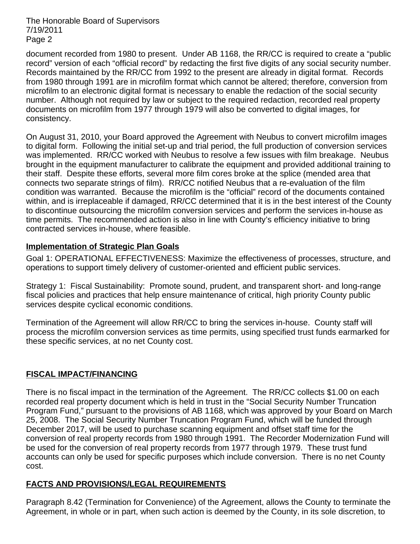The Honorable Board of Supervisors 7/19/2011 Page 2

document recorded from 1980 to present. Under AB 1168, the RR/CC is required to create a "public record" version of each "official record" by redacting the first five digits of any social security number. Records maintained by the RR/CC from 1992 to the present are already in digital format. Records from 1980 through 1991 are in microfilm format which cannot be altered; therefore, conversion from microfilm to an electronic digital format is necessary to enable the redaction of the social security number. Although not required by law or subject to the required redaction, recorded real property documents on microfilm from 1977 through 1979 will also be converted to digital images, for consistency.

On August 31, 2010, your Board approved the Agreement with Neubus to convert microfilm images to digital form. Following the initial set-up and trial period, the full production of conversion services was implemented. RR/CC worked with Neubus to resolve a few issues with film breakage. Neubus brought in the equipment manufacturer to calibrate the equipment and provided additional training to their staff. Despite these efforts, several more film cores broke at the splice (mended area that connects two separate strings of film). RR/CC notified Neubus that a re-evaluation of the film condition was warranted. Because the microfilm is the "official" record of the documents contained within, and is irreplaceable if damaged, RR/CC determined that it is in the best interest of the County to discontinue outsourcing the microfilm conversion services and perform the services in-house as time permits. The recommended action is also in line with County's efficiency initiative to bring contracted services in-house, where feasible.

#### **Implementation of Strategic Plan Goals**

Goal 1: OPERATIONAL EFFECTIVENESS: Maximize the effectiveness of processes, structure, and operations to support timely delivery of customer-oriented and efficient public services.

Strategy 1: Fiscal Sustainability: Promote sound, prudent, and transparent short- and long-range fiscal policies and practices that help ensure maintenance of critical, high priority County public services despite cyclical economic conditions.

Termination of the Agreement will allow RR/CC to bring the services in-house. County staff will process the microfilm conversion services as time permits, using specified trust funds earmarked for these specific services, at no net County cost.

# **FISCAL IMPACT/FINANCING**

There is no fiscal impact in the termination of the Agreement. The RR/CC collects \$1.00 on each recorded real property document which is held in trust in the "Social Security Number Truncation Program Fund," pursuant to the provisions of AB 1168, which was approved by your Board on March 25, 2008. The Social Security Number Truncation Program Fund, which will be funded through December 2017, will be used to purchase scanning equipment and offset staff time for the conversion of real property records from 1980 through 1991. The Recorder Modernization Fund will be used for the conversion of real property records from 1977 through 1979. These trust fund accounts can only be used for specific purposes which include conversion. There is no net County cost.

#### **FACTS AND PROVISIONS/LEGAL REQUIREMENTS**

Paragraph 8.42 (Termination for Convenience) of the Agreement, allows the County to terminate the Agreement, in whole or in part, when such action is deemed by the County, in its sole discretion, to